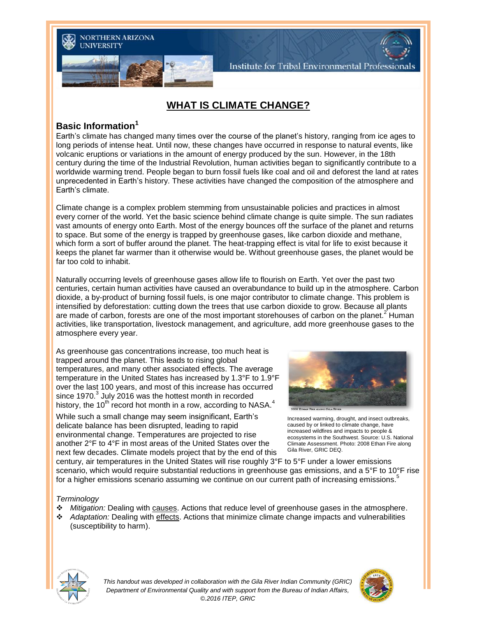

Institute for Tribal Environmental Professionals

# **WHAT IS CLIMATE CHANGE?**

#### **Basic Information<sup>1</sup>**

Earth's climate has changed many times over the course of the planet's history, ranging from ice ages to long periods of intense heat. Until now, these changes have occurred in response to natural events, like volcanic eruptions or variations in the amount of energy produced by the sun. However, in the 18th century during the time of the Industrial Revolution, human activities began to significantly contribute to a worldwide warming trend. People began to burn fossil fuels like coal and oil and deforest the land at rates unprecedented in Earth's history. These activities have changed the composition of the atmosphere and Earth's climate.

Climate change is a complex problem stemming from unsustainable policies and practices in almost every corner of the world. Yet the basic science behind climate change is quite simple. The sun radiates vast amounts of energy onto Earth. Most of the energy bounces off the surface of the planet and returns to space. But some of the energy is trapped by greenhouse gases, like carbon dioxide and methane, which form a sort of buffer around the planet. The heat-trapping effect is vital for life to exist because it keeps the planet far warmer than it otherwise would be. Without greenhouse gases, the planet would be far too cold to inhabit.

Naturally occurring levels of greenhouse gases allow life to flourish on Earth. Yet over the past two centuries, certain human activities have caused an overabundance to build up in the atmosphere. Carbon dioxide, a by-product of burning fossil fuels, is one major contributor to climate change. This problem is intensified by deforestation: cutting down the trees that use carbon dioxide to grow. Because all plants are made of carbon, forests are one of the most important storehouses of carbon on the planet.<sup>2</sup> Human activities, like transportation, livestock management, and agriculture, add more greenhouse gases to the atmosphere every year.

As greenhouse gas concentrations increase, too much heat is trapped around the planet. This leads to rising global temperatures, and many other associated effects. The average temperature in the United States has increased by 1.3°F to 1.9°F over the last 100 years, and most of this increase has occurred since 1970. $3$  July 2016 was the hottest month in recorded history, the 10<sup>th</sup> record hot month in a row, according to NASA.<sup>4</sup>

While such a small change may seem insignificant, Earth's delicate balance has been disrupted, leading to rapid environmental change. Temperatures are projected to rise another 2°F to 4°F in most areas of the United States over the next few decades. Climate models project that by the end of this



Increased warming, drought, and insect outbreaks, caused by or linked to climate change, have increased wildfires and impacts to people & ecosystems in the Southwest. Source: U.S. National Climate Assessment. Photo: 2008 Ethan Fire along Gila River, GRIC DEQ.

century, air temperatures in the United States will rise roughly 3°F to 5°F under a lower emissions scenario, which would require substantial reductions in greenhouse gas emissions, and a 5°F to 10°F rise for a higher emissions scenario assuming we continue on our current path of increasing emissions.<sup>5</sup>

#### *Terminology*

- *Mitigation:* Dealing with causes. Actions that reduce level of greenhouse gases in the atmosphere.
- *Adaptation:* Dealing with effects. Actions that minimize climate change impacts and vulnerabilities (susceptibility to harm).